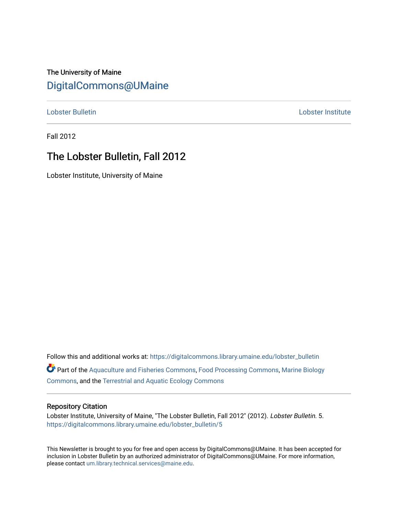# The University of Maine [DigitalCommons@UMaine](https://digitalcommons.library.umaine.edu/)

[Lobster Bulletin](https://digitalcommons.library.umaine.edu/lobster_bulletin) [Lobster Institute](https://digitalcommons.library.umaine.edu/lobster) 

Fall 2012

# The Lobster Bulletin, Fall 2012

Lobster Institute, University of Maine

Follow this and additional works at: [https://digitalcommons.library.umaine.edu/lobster\\_bulletin](https://digitalcommons.library.umaine.edu/lobster_bulletin?utm_source=digitalcommons.library.umaine.edu%2Flobster_bulletin%2F5&utm_medium=PDF&utm_campaign=PDFCoverPages) Part of the [Aquaculture and Fisheries Commons](http://network.bepress.com/hgg/discipline/78?utm_source=digitalcommons.library.umaine.edu%2Flobster_bulletin%2F5&utm_medium=PDF&utm_campaign=PDFCoverPages), [Food Processing Commons,](http://network.bepress.com/hgg/discipline/85?utm_source=digitalcommons.library.umaine.edu%2Flobster_bulletin%2F5&utm_medium=PDF&utm_campaign=PDFCoverPages) [Marine Biology](http://network.bepress.com/hgg/discipline/1126?utm_source=digitalcommons.library.umaine.edu%2Flobster_bulletin%2F5&utm_medium=PDF&utm_campaign=PDFCoverPages) [Commons](http://network.bepress.com/hgg/discipline/1126?utm_source=digitalcommons.library.umaine.edu%2Flobster_bulletin%2F5&utm_medium=PDF&utm_campaign=PDFCoverPages), and the [Terrestrial and Aquatic Ecology Commons](http://network.bepress.com/hgg/discipline/20?utm_source=digitalcommons.library.umaine.edu%2Flobster_bulletin%2F5&utm_medium=PDF&utm_campaign=PDFCoverPages) 

#### Repository Citation

Lobster Institute, University of Maine, "The Lobster Bulletin, Fall 2012" (2012). Lobster Bulletin. 5. [https://digitalcommons.library.umaine.edu/lobster\\_bulletin/5](https://digitalcommons.library.umaine.edu/lobster_bulletin/5?utm_source=digitalcommons.library.umaine.edu%2Flobster_bulletin%2F5&utm_medium=PDF&utm_campaign=PDFCoverPages)

This Newsletter is brought to you for free and open access by DigitalCommons@UMaine. It has been accepted for inclusion in Lobster Bulletin by an authorized administrator of DigitalCommons@UMaine. For more information, please contact [um.library.technical.services@maine.edu.](mailto:um.library.technical.services@maine.edu)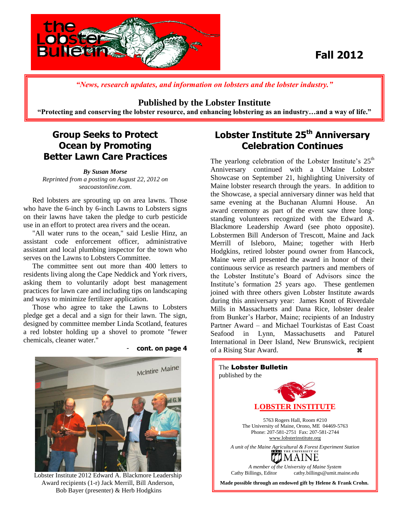

# **Fall 2012**

*"News, research updates, and information on lobsters and the lobster industry."*

### **Published by the Lobster Institute**

**"Protecting and conserving the lobster resource, and enhancing lobstering as an industry…and a way of life."**

### **Group Seeks to Protect Ocean by Promoting Better Lawn Care Practices**

*By Susan Morse Reprinted from a posting on August 22, 2012 on seacoastonline.com*.

 Red lobsters are sprouting up on area lawns. Those who have the 6-inch by 6-inch Lawns to Lobsters signs on their lawns have taken the pledge to curb pesticide use in an effort to protect area rivers and the ocean.

 "All water runs to the ocean," said Leslie Hinz, an assistant code enforcement officer, administrative assistant and local plumbing inspector for the town who serves on the Lawns to Lobsters Committee.

 The committee sent out more than 400 letters to residents living along the Cape Neddick and York rivers, asking them to voluntarily adopt best management practices for lawn care and including tips on landscaping and ways to minimize fertilizer application.

 Those who agree to take the Lawns to Lobsters pledge get a decal and a sign for their lawn. The sign, designed by committee member Linda Scotland, features a red lobster holding up a shovel to promote "fewer chemicals, cleaner water."

**Lobster Institute 25th Anniversary Celebration Continues**

The yearlong celebration of the Lobster Institute's  $25<sup>th</sup>$ Anniversary continued with a UMaine Lobster Showcase on September 21, highlighting University of Maine lobster research through the years. In addition to the Showcase, a special anniversary dinner was held that same evening at the Buchanan Alumni House. An award ceremony as part of the event saw three longstanding volunteers recognized with the Edward A. Blackmore Leadership Award (see photo opposite). Lobstermen Bill Anderson of Trescott, Maine and Jack Merrill of Isleboro, Maine; together with Herb Hodgkins, retired lobster pound owner from Hancock, Maine were all presented the award in honor of their continuous service as research partners and members of the Lobster Institute's Board of Advisors since the Institute's formation 25 years ago. These gentlemen joined with three others given Lobster Institute awards during this anniversary year: James Knott of Riverdale Mills in Massachuetts and Dana Rice, lobster dealer from Bunker's Harbor, Maine; recipients of an Industry Partner Award – and Michael Tourkistas of East Coast Seafood in Lynn, Massachusetts and Paturel International in Deer Island, New Brunswick, recipient of a Rising Star Award.  $\bullet$ 



 Award recipients (1-r) Jack Merrill, Bill Anderson, Lobster Institute 2012 Edward A. Blackmore Leadership Bob Bayer (presenter) & Herb Hodgkins



- **cont. on page 4**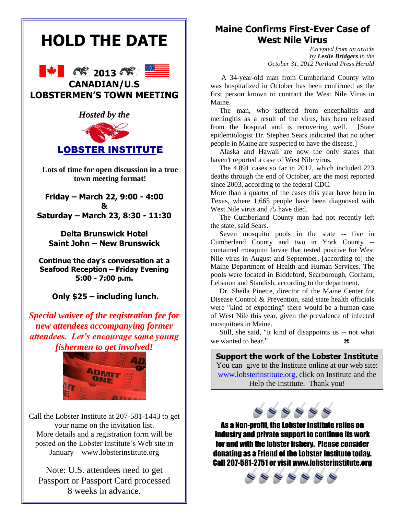

Call the Lobster Institute at 207-581-1443 to get your name on the invitation list. More details and a registration form will be posted on the Lobster Institute's Web site in January – www.lobsterinstitute.org

Note: U.S. attendees need to get Passport or Passport Card processed 8 weeks in advance.

### **[Maine Confirms First-Ever Case of](http://www.pressherald.com/news/CDC-maine-west-nile-mosquito-virus-cumberland.html)  [West Nile Virus](http://www.pressherald.com/news/CDC-maine-west-nile-mosquito-virus-cumberland.html)**

 *Excepted from an article by Leslie Bridgers in the October 31, 2012 Portland Press Herald*

 A 34-year-old man from Cumberland County who was hospitalized in October has been confirmed as the first person known to contract the West Nile Virus in Maine.

 The man, who suffered from encephalitis and meningitis as a result of the virus, has been released from the hospital and is recovering well. [State epidemiologist Dr. Stephen Sears indicated that no other people in Maine are suspected to have the disease.]

 Alaska and Hawaii are now the only states that haven't reported a case of West Nile virus.

 The 4,891 cases so far in 2012, which included 223 deaths through the end of October, are the most reported since 2003, according to the federal CDC.

More than a quarter of the cases this year have been in Texas, where 1,665 people have been diagnosed with West Nile virus and 75 have died.

 The Cumberland County man had not recently left the state, said Sears.

 Seven mosquito pools in the state -- five in Cumberland County and two in York County - contained mosquito larvae that tested positive for West Nile virus in August and September, [according to] the Maine Department of Health and Human Services. The pools were located in Biddeford, Scarborough, Gorham, Lebanon and Standish, according to the department.

 Dr. Sheila Pinette, director of the Maine Center for Disease Control & Prevention, said state health officials were "kind of expecting" there would be a human case of West Nile this year, given the prevalence of infected mosquitoes in Maine.

 Still, she said, "It kind of disappoints us -- not what we wanted to hear."

**Support the work of the Lobster Institute**  You can give to the Institute online at our web site: [www.lobsterinstitute.org,](http://www.lobsterinstitute.org/) click on Institute and the Help the Institute. Thank you!

As a Non-profit, the Lobster Institute relies on industry and private support to continue its work for and with the lobster fishery. Please consider donating as a Friend of the Lobster Institute today. Call 207-581-2751 or visit www.lobsterinstitute.org

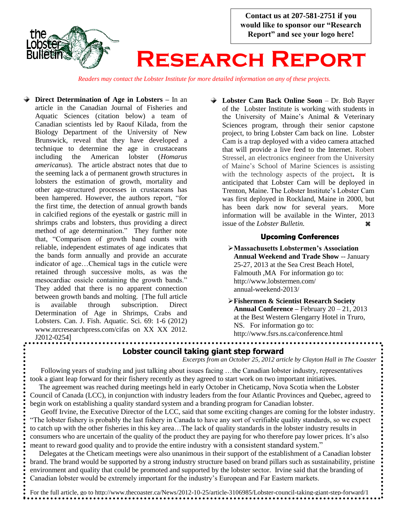

*Readers may contact the Lobster Institute for more detailed information on any of these projects.*

- **Direct Determination of Age in Lobsters –** In an article in the Canadian Journal of Fisheries and Aquatic Sciences (citation below) a team of Canadian scientists led by Raouf Kilada, from the Biology Department of the University of New Brunswick, reveal that they have developed a technique to determine the age in crustaceans including the American lobster (*Homarus americanus*). The article abstract notes that due to the seeming lack a of permanent growth structures in lobsters the estimation of growth, mortality and other age-structured processes in crustaceans has been hampered. However, the authors report, "for the first time, the detection of annual growth bands in calcified regions of the eyestalk or gastric mill in shrimps crabs and lobsters, thus providing a direct method of age determination." They further note that, "Comparison of growth band counts with reliable, independent estimates of age indicates that the bands form annually and provide an accurate indicator of age…Chemical tags in the cuticle were retained through successive molts, as was the mesocardiac ossicle containing the growth bands." They added that there is no apparent connection between growth bands and molting. [The full article is available through subscription. Direct Determination of Age in Shrimps, Crabs and Lobsters. Can. J. Fish. Aquatic. Sci. 69: 1-6 (2012) www.nrcresearchpress.com/cifas on XX XX 2012. J2012-0254]
- **Lobster Cam Back Online Soon** Dr. Bob Bayer of the Lobster Institute is working with students in the University of Maine's Animal & Veterinary Sciences program, through their senior capstone project, to bring Lobster Cam back on line. Lobster Cam is a trap deployed with a video camera attached that will provide a live feed to the Internet. Robert Stressel, an electronics engineer from the University of Maine's School of Marine Sciences is assisting with the technology aspects of the project**.** It is anticipated that Lobster Cam will be deployed in Trenton, Maine. The Lobster Institute's Lobster Cam was first deployed in Rockland, Maine in 2000, but has been dark now for several years. More information will be available in the Winter, 2013 issue of the *Lobster Bulletin*.

#### **Upcoming Conferences**

**Massachusetts Lobstermen's Association Annual Weekend and Trade Show** -- January 25-27, 2013 at the Sea Crest Beach Hotel, Falmouth ,MA For information go to: http://www.lobstermen.com/ annual-weekend-2013/

**Fishermen & Scientist Research Society Annual Conference –** February 20 – 21, 2013 at the Best Western Glengarry Hotel in Truro, NS. For information go to: http://www.fsrs.ns.ca/conference.html

#### **Lobster council taking giant step forward**

*Excerpts from an October 25, 2012 article by Clayton Hall in The Coaster*

 Following years of studying and just talking about issues facing …the Canadian lobster industry, representatives took a giant leap forward for their fishery recently as they agreed to start work on two important initiatives. The agreement was reached during meetings held in early October in Cheticamp, Nova Scotia when the Lobster

Council of Canada (LCC), in conjunction with industry leaders from the four Atlantic Provinces and Quebec, agreed to begin work on establishing a quality standard system and a branding program for Canadian lobster.

 Geoff Irvine, the Executive Director of the LCC, said that some exciting changes are coming for the lobster industry. "The lobster fishery is probably the last fishery in Canada to have any sort of verifiable quality standards, so we expect to catch up with the other fisheries in this key area…The lack of quality standards in the lobster industry results in consumers who are uncertain of the quality of the product they are paying for who therefore pay lower prices. It's also meant to reward good quality and to provide the entire industry with a consistent standard system."

 Delegates at the Cheticam meetings were also unanimous in their support of the establishment of a Canadian lobster brand. The brand would be supported by a strong industry structure based on brand pillars such as sustainability, pristine environment and quality that could be promoted and supported by the lobster sector. Irvine said that the branding of Canadian lobster would be extremely important for the industry's European and Far Eastern markets.

For the full article, go to http://www.thecoaster.ca/News/2012-10-25/article-3106985/Lobster-council-taking-giant-step-forward/1